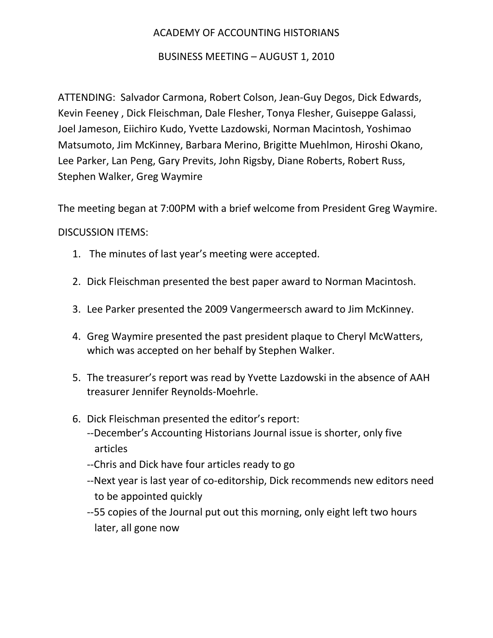## ACADEMY OF ACCOUNTING HISTORIANS

## BUSINESS MEETING – AUGUST 1, 2010

ATTENDING: Salvador Carmona, Robert Colson, Jean-Guy Degos, Dick Edwards, Kevin Feeney , Dick Fleischman, Dale Flesher, Tonya Flesher, Guiseppe Galassi, Joel Jameson, Eiichiro Kudo, Yvette Lazdowski, Norman Macintosh, Yoshimao Matsumoto, Jim McKinney, Barbara Merino, Brigitte Muehlmon, Hiroshi Okano, Lee Parker, Lan Peng, Gary Previts, John Rigsby, Diane Roberts, Robert Russ, Stephen Walker, Greg Waymire

The meeting began at 7:00PM with a brief welcome from President Greg Waymire.

## DISCUSSION ITEMS:

- 1. The minutes of last year's meeting were accepted.
- 2. Dick Fleischman presented the best paper award to Norman Macintosh.
- 3. Lee Parker presented the 2009 Vangermeersch award to Jim McKinney.
- 4. Greg Waymire presented the past president plaque to Cheryl McWatters, which was accepted on her behalf by Stephen Walker.
- 5. The treasurer's report was read by Yvette Lazdowski in the absence of AAH treasurer Jennifer Reynolds-Moehrle.
- 6. Dick Fleischman presented the editor's report:
	- --December's Accounting Historians Journal issue is shorter, only five articles
	- --Chris and Dick have four articles ready to go
	- --Next year is last year of co-editorship, Dick recommends new editors need to be appointed quickly
	- --55 copies of the Journal put out this morning, only eight left two hours later, all gone now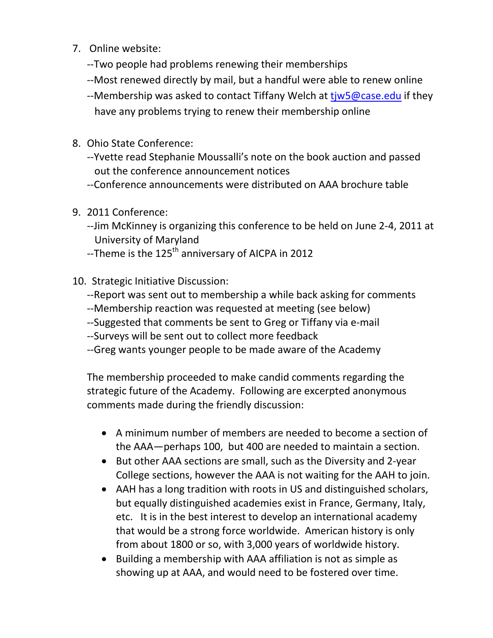- 7. Online website:
	- --Two people had problems renewing their memberships
	- --Most renewed directly by mail, but a handful were able to renew online
	- --Membership was asked to contact Tiffany Welch at t*iw5@case.edu* if they have any problems trying to renew their membership online
- 8. Ohio State Conference:
	- --Yvette read Stephanie Moussalli's note on the book auction and passed out the conference announcement notices
	- --Conference announcements were distributed on AAA brochure table
- 9. 2011 Conference:
	- --Jim McKinney is organizing this conference to be held on June 2-4, 2011 at University of Maryland
	- --Theme is the 125<sup>th</sup> anniversary of AICPA in 2012
- 10. Strategic Initiative Discussion:
	- --Report was sent out to membership a while back asking for comments
	- --Membership reaction was requested at meeting (see below)
	- --Suggested that comments be sent to Greg or Tiffany via e-mail
	- --Surveys will be sent out to collect more feedback
	- --Greg wants younger people to be made aware of the Academy

The membership proceeded to make candid comments regarding the strategic future of the Academy. Following are excerpted anonymous comments made during the friendly discussion:

- A minimum number of members are needed to become a section of the AAA—perhaps 100, but 400 are needed to maintain a section.
- But other AAA sections are small, such as the Diversity and 2-year College sections, however the AAA is not waiting for the AAH to join.
- AAH has a long tradition with roots in US and distinguished scholars, but equally distinguished academies exist in France, Germany, Italy, etc. It is in the best interest to develop an international academy that would be a strong force worldwide. American history is only from about 1800 or so, with 3,000 years of worldwide history.
- Building a membership with AAA affiliation is not as simple as showing up at AAA, and would need to be fostered over time.